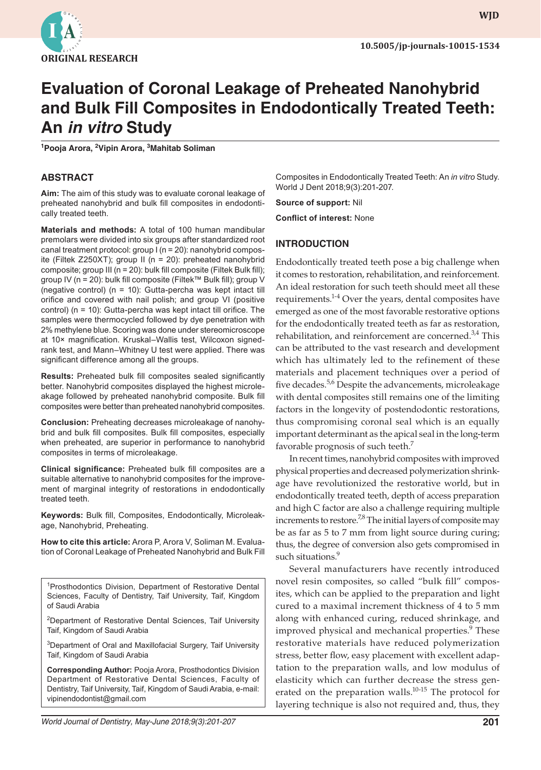

**wjd WJD**

# **Evaluation of Coronal Leakage of Preheated Nanohybrid and Bulk Fill Composites in Endodontically Treated Teeth: An** *in vitro* **Study**

**1 Pooja Arora, 2 Vipin Arora, 3 Mahitab Soliman**

#### **ABSTRACT**

**Aim:** The aim of this study was to evaluate coronal leakage of preheated nanohybrid and bulk fill composites in endodontically treated teeth.

**Materials and methods:** A total of 100 human mandibular premolars were divided into six groups after standardized root canal treatment protocol: group I (n = 20): nanohybrid composite (Filtek Z250XT); group II (n = 20): preheated nanohybrid composite; group III (n = 20): bulk fill composite (Filtek Bulk fill); group IV (n = 20): bulk fill composite (Filtek™ Bulk fill); group V (negative control) (n = 10): Gutta-percha was kept intact till orifice and covered with nail polish; and group VI (positive control) (n = 10): Gutta-percha was kept intact till orifice. The samples were thermocycled followed by dye penetration with 2% methylene blue. Scoring was done under stereomicroscope at 10× magnification. Kruskal–Wallis test, Wilcoxon signedrank test, and Mann–Whitney U test were applied. There was significant difference among all the groups.

**Results:** Preheated bulk fill composites sealed significantly better. Nanohybrid composites displayed the highest microleakage followed by preheated nanohybrid composite. Bulk fill composites were better than preheated nanohybrid composites.

**Conclusion:** Preheating decreases microleakage of nanohybrid and bulk fill composites. Bulk fill composites, especially when preheated, are superior in performance to nanohybrid composites in terms of microleakage.

**Clinical significance:** Preheated bulk fill composites are a suitable alternative to nanohybrid composites for the improvement of marginal integrity of restorations in endodontically treated teeth.

**Keywords:** Bulk fill, Composites, Endodontically, Microleakage, Nanohybrid, Preheating.

**How to cite this article:** Arora P, Arora V, Soliman M. Evaluation of Coronal Leakage of Preheated Nanohybrid and Bulk Fill

<sup>1</sup> Prosthodontics Division, Department of Restorative Dental Sciences, Faculty of Dentistry, Taif University, Taif, Kingdom of Saudi Arabia

<sup>2</sup>Department of Restorative Dental Sciences, Taif University Taif, Kingdom of Saudi Arabia

<sup>3</sup>Department of Oral and Maxillofacial Surgery, Taif University Taif, Kingdom of Saudi Arabia

**Corresponding Author:** Pooja Arora, Prosthodontics Division Department of Restorative Dental Sciences, Faculty of Dentistry, Taif University, Taif, Kingdom of Saudi Arabia, e-mail: vipinendodontist@gmail.com

Composites in Endodontically Treated Teeth: An *in vitro* Study. World J Dent 2018;9(3):201-207.

**Source of support:** Nil

**Conflict of interest:** None

## **INTRODUCTION**

Endodontically treated teeth pose a big challenge when it comes to restoration, rehabilitation, and reinforcement. An ideal restoration for such teeth should meet all these requirements. $1-4}$  Over the years, dental composites have emerged as one of the most favorable restorative options for the endodontically treated teeth as far as restoration, rehabilitation, and reinforcement are concerned.<sup>3,4</sup> This can be attributed to the vast research and development which has ultimately led to the refinement of these materials and placement techniques over a period of five decades.<sup>5,6</sup> Despite the advancements, microleakage with dental composites still remains one of the limiting factors in the longevity of postendodontic restorations, thus compromising coronal seal which is an equally important determinant as the apical seal in the long-term favorable prognosis of such teeth.7

In recent times, nanohybrid composites with improved physical properties and decreased polymerization shrinkage have revolutionized the restorative world, but in endodontically treated teeth, depth of access preparation and high C factor are also a challenge requiring multiple increments to restore.<sup>7,8</sup> The initial layers of composite may be as far as 5 to 7 mm from light source during curing; thus, the degree of conversion also gets compromised in such situations.<sup>9</sup>

Several manufacturers have recently introduced novel resin composites, so called "bulk fill" composites, which can be applied to the preparation and light cured to a maximal increment thickness of 4 to 5 mm along with enhanced curing, reduced shrinkage, and improved physical and mechanical properties.<sup>9</sup> These restorative materials have reduced polymerization stress, better flow, easy placement with excellent adaptation to the preparation walls, and low modulus of elasticity which can further decrease the stress generated on the preparation walls.<sup>10-15</sup> The protocol for layering technique is also not required and, thus, they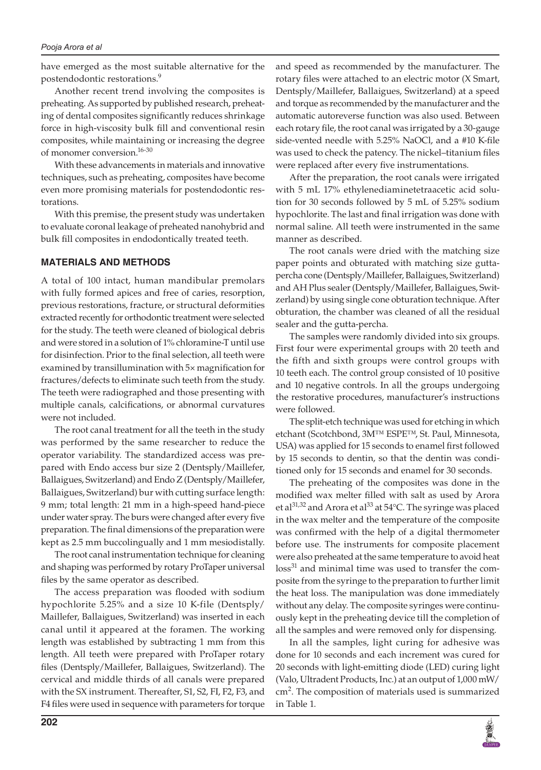#### *Pooja Arora et al*

have emerged as the most suitable alternative for the postendodontic restorations.9

Another recent trend involving the composites is preheating. As supported by published research, preheating of dental composites significantly reduces shrinkage force in high-viscosity bulk fill and conventional resin composites, while maintaining or increasing the degree of monomer conversion.16-30

With these advancements in materials and innovative techniques, such as preheating, composites have become even more promising materials for postendodontic restorations.

With this premise, the present study was undertaken to evaluate coronal leakage of preheated nanohybrid and bulk fill composites in endodontically treated teeth.

## **MATERIALS AND METHODS**

A total of 100 intact, human mandibular premolars with fully formed apices and free of caries, resorption, previous restorations, fracture, or structural deformities extracted recently for orthodontic treatment were selected for the study. The teeth were cleaned of biological debris and were stored in a solution of 1% chloramine-T until use for disinfection. Prior to the final selection, all teeth were examined by transillumination with 5× magnification for fractures/defects to eliminate such teeth from the study. The teeth were radiographed and those presenting with multiple canals, calcifications, or abnormal curvatures were not included.

The root canal treatment for all the teeth in the study was performed by the same researcher to reduce the operator variability. The standardized access was prepared with Endo access bur size 2 (Dentsply/Maillefer, Ballaigues, Switzerland) and Endo Z (Dentsply/Maillefer, Ballaigues, Switzerland) bur with cutting surface length: 9 mm; total length: 21 mm in a high-speed hand-piece under water spray. The burs were changed after every five preparation. The final dimensions of the preparation were kept as 2.5 mm buccolingually and 1 mm mesiodistally.

The root canal instrumentation technique for cleaning and shaping was performed by rotary ProTaper universal files by the same operator as described.

The access preparation was flooded with sodium hypochlorite 5.25% and a size 10 K-file (Dentsply/ Maillefer, Ballaigues, Switzerland) was inserted in each canal until it appeared at the foramen. The working length was established by subtracting 1 mm from this length. All teeth were prepared with ProTaper rotary files (Dentsply/Maillefer, Ballaigues, Switzerland). The cervical and middle thirds of all canals were prepared with the SX instrument. Thereafter, S1, S2, FI, F2, F3, and F4 files were used in sequence with parameters for torque and speed as recommended by the manufacturer. The rotary files were attached to an electric motor (X Smart, Dentsply/Maillefer, Ballaigues, Switzerland) at a speed and torque as recommended by the manufacturer and the automatic autoreverse function was also used. Between each rotary file, the root canal was irrigated by a 30-gauge side-vented needle with 5.25% NaOCl, and a #10 K-file was used to check the patency. The nickel–titanium files were replaced after every five instrumentations.

After the preparation, the root canals were irrigated with 5 mL 17% ethylenediaminetetraacetic acid solution for 30 seconds followed by 5 mL of 5.25% sodium hypochlorite. The last and final irrigation was done with normal saline. All teeth were instrumented in the same manner as described.

The root canals were dried with the matching size paper points and obturated with matching size guttapercha cone (Dentsply/Maillefer, Ballaigues, Switzerland) and AH Plus sealer (Dentsply/Maillefer, Ballaigues, Switzerland) by using single cone obturation technique. After obturation, the chamber was cleaned of all the residual sealer and the gutta-percha.

The samples were randomly divided into six groups. First four were experimental groups with 20 teeth and the fifth and sixth groups were control groups with 10 teeth each. The control group consisted of 10 positive and 10 negative controls. In all the groups undergoing the restorative procedures, manufacturer's instructions were followed.

The split-etch technique was used for etching in which etchant (Scotchbond, 3M™ ESPE™, St. Paul, Minnesota, USA) was applied for 15 seconds to enamel first followed by 15 seconds to dentin, so that the dentin was conditioned only for 15 seconds and enamel for 30 seconds.

The preheating of the composites was done in the modified wax melter filled with salt as used by Arora et al<sup>31,32</sup> and Arora et al<sup>33</sup> at 54°C. The syringe was placed in the wax melter and the temperature of the composite was confirmed with the help of a digital thermometer before use. The instruments for composite placement were also preheated at the same temperature to avoid heat  $loss<sup>31</sup>$  and minimal time was used to transfer the composite from the syringe to the preparation to further limit the heat loss. The manipulation was done immediately without any delay. The composite syringes were continuously kept in the preheating device till the completion of all the samples and were removed only for dispensing.

In all the samples, light curing for adhesive was done for 10 seconds and each increment was cured for 20 seconds with light-emitting diode (LED) curing light (Valo, Ultradent Products, Inc.) at an output of 1,000 mW/ cm<sup>2</sup> . The composition of materials used is summarized in Table 1.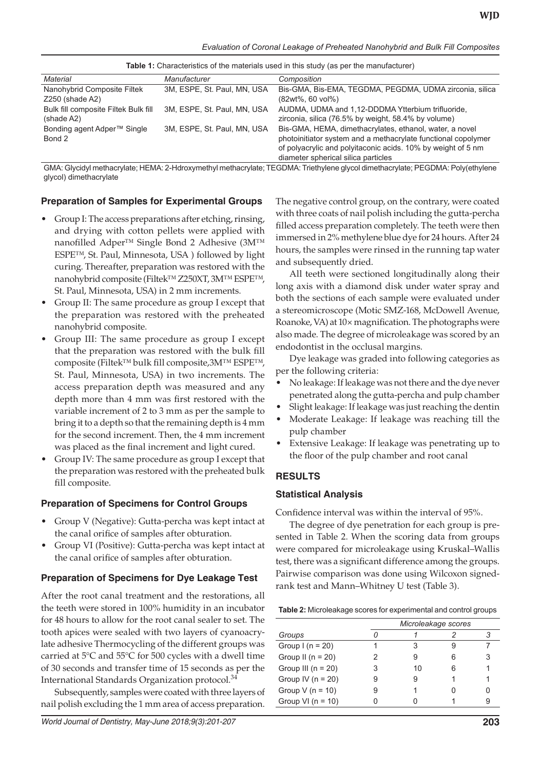| Material                                | Manufacturer                | Composition                                                   |  |  |  |  |
|-----------------------------------------|-----------------------------|---------------------------------------------------------------|--|--|--|--|
| Nanohybrid Composite Filtek             | 3M, ESPE, St. Paul, MN, USA | Bis-GMA, Bis-EMA, TEGDMA, PEGDMA, UDMA zirconia, silica       |  |  |  |  |
| $Z250$ (shade A2)                       |                             | $(82wt\%, 60 vol\%)$                                          |  |  |  |  |
| Bulk fill composite Filtek Bulk fill    | 3M, ESPE, St. Paul, MN, USA | AUDMA, UDMA and 1,12-DDDMA Ytterbium trifluoride,             |  |  |  |  |
| (shade A2)                              |                             | zirconia, silica (76.5% by weight, 58.4% by volume)           |  |  |  |  |
| Bonding agent Adper <sup>™</sup> Single | 3M, ESPE, St. Paul, MN, USA | Bis-GMA, HEMA, dimethacrylates, ethanol, water, a novel       |  |  |  |  |
| Bond 2                                  |                             | photoinitiator system and a methacrylate functional copolymer |  |  |  |  |
|                                         |                             | of polyacrylic and polyitaconic acids. 10% by weight of 5 nm  |  |  |  |  |
|                                         |                             | diameter spherical silica particles                           |  |  |  |  |

**Table 1:** Characteristics of the materials used in this study (as per the manufacturer)

GMA: Glycidyl methacrylate; HEMA: 2-Hdroxymethyl methacrylate; TEGDMA: Triethylene glycol dimethacrylate; PEGDMA: Poly(ethylene glycol) dimethacrylate

#### **Preparation of Samples for Experimental Groups**

- Group I: The access preparations after etching, rinsing, and drying with cotton pellets were applied with nanofilled Adper™ Single Bond 2 Adhesive (3M™ ESPE™, St. Paul, Minnesota, USA ) followed by light curing. Thereafter, preparation was restored with the nanohybrid composite (Filtek™ Z250XT, 3M™ ESPE™, St. Paul, Minnesota, USA) in 2 mm increments.
- Group II: The same procedure as group I except that the preparation was restored with the preheated nanohybrid composite.
- Group III: The same procedure as group I except that the preparation was restored with the bulk fill composite (Filtek™ bulk fill composite,3M™ ESPE™, St. Paul, Minnesota, USA) in two increments. The access preparation depth was measured and any depth more than 4 mm was first restored with the variable increment of 2 to 3 mm as per the sample to bring it to a depth so that the remaining depth is 4 mm for the second increment. Then, the 4 mm increment was placed as the final increment and light cured.
- Group IV: The same procedure as group I except that the preparation was restored with the preheated bulk fill composite.

#### **Preparation of Specimens for Control Groups**

- Group V (Negative): Gutta-percha was kept intact at the canal orifice of samples after obturation.
- Group VI (Positive): Gutta-percha was kept intact at the canal orifice of samples after obturation.

### **Preparation of Specimens for Dye Leakage Test**

After the root canal treatment and the restorations, all the teeth were stored in 100% humidity in an incubator for 48 hours to allow for the root canal sealer to set. The tooth apices were sealed with two layers of cyanoacrylate adhesive Thermocycling of the different groups was carried at 5°C and 55°C for 500 cycles with a dwell time of 30 seconds and transfer time of 15 seconds as per the International Standards Organization protocol.<sup>34</sup>

Subsequently, samples were coated with three layers of nail polish excluding the 1 mm area of access preparation. The negative control group, on the contrary, were coated with three coats of nail polish including the gutta-percha filled access preparation completely. The teeth were then immersed in 2% methylene blue dye for 24 hours. After 24 hours, the samples were rinsed in the running tap water and subsequently dried.

All teeth were sectioned longitudinally along their long axis with a diamond disk under water spray and both the sections of each sample were evaluated under a stereomicroscope (Motic SMZ-168, McDowell Avenue, Roanoke, VA) at 10× magnification. The photographs were also made. The degree of microleakage was scored by an endodontist in the occlusal margins.

Dye leakage was graded into following categories as per the following criteria:

- • No leakage: If leakage was not there and the dye never penetrated along the gutta-percha and pulp chamber
- Slight leakage: If leakage was just reaching the dentin
- Moderate Leakage: If leakage was reaching till the pulp chamber
- Extensive Leakage: If leakage was penetrating up to the floor of the pulp chamber and root canal

### **RESULTS**

### **Statistical Analysis**

Confidence interval was within the interval of 95%.

The degree of dye penetration for each group is presented in Table 2. When the scoring data from groups were compared for microleakage using Kruskal–Wallis test, there was a significant difference among the groups. Pairwise comparison was done using Wilcoxon signedrank test and Mann–Whitney U test (Table 3).

|                        |   | Microleakage scores |   |  |  |  |
|------------------------|---|---------------------|---|--|--|--|
| Groups                 |   |                     |   |  |  |  |
| Group $I(n = 20)$      |   | 3                   |   |  |  |  |
| Group II ( $n = 20$ )  |   | 9                   | հ |  |  |  |
| Group III ( $n = 20$ ) |   | 10                  |   |  |  |  |
| Group IV ( $n = 20$ )  | 9 | 9                   |   |  |  |  |
| Group V ( $n = 10$ )   |   |                     |   |  |  |  |
| Group VI $(n = 10)$    |   |                     |   |  |  |  |
|                        |   |                     |   |  |  |  |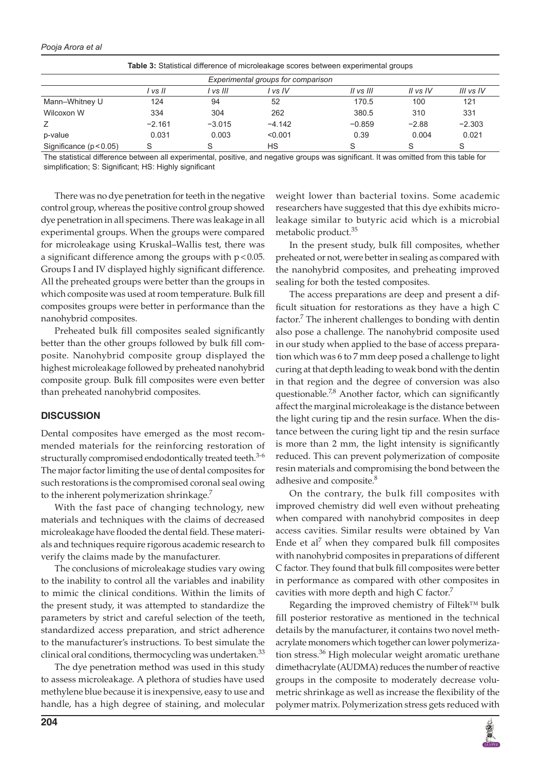#### *Pooja Arora et al*

| <b>Table 3:</b> Statistical difference of microleakage scores between experimental groups |          |          |          |           |          |           |  |  |
|-------------------------------------------------------------------------------------------|----------|----------|----------|-----------|----------|-----------|--|--|
| Experimental groups for comparison                                                        |          |          |          |           |          |           |  |  |
|                                                                                           | l vs II  | l vs III | l vs IV  | II vs III | II vs IV | III vs IV |  |  |
| Mann-Whitney U                                                                            | 124      | 94       | 52       | 170.5     | 100      | 121       |  |  |
| Wilcoxon W                                                                                | 334      | 304      | 262      | 380.5     | 310      | 331       |  |  |
| Z                                                                                         | $-2.161$ | $-3.015$ | $-4.142$ | $-0.859$  | $-2.88$  | $-2.303$  |  |  |
| p-value                                                                                   | 0.031    | 0.003    | < 0.001  | 0.39      | 0.004    | 0.021     |  |  |
| Significance $(p < 0.05)$                                                                 | S        |          | НS       | S         | S        | S         |  |  |

The statistical difference between all experimental, positive, and negative groups was significant. It was omitted from this table for simplification; S: Significant; HS: Highly significant

There was no dye penetration for teeth in the negative control group, whereas the positive control group showed dye penetration in all specimens. There was leakage in all experimental groups. When the groups were compared for microleakage using Kruskal–Wallis test, there was a significant difference among the groups with p<0.05. Groups I and IV displayed highly significant difference. All the preheated groups were better than the groups in which composite was used at room temperature. Bulk fill composites groups were better in performance than the nanohybrid composites.

Preheated bulk fill composites sealed significantly better than the other groups followed by bulk fill composite. Nanohybrid composite group displayed the highest microleakage followed by preheated nanohybrid composite group. Bulk fill composites were even better than preheated nanohybrid composites.

#### **DISCUSSION**

Dental composites have emerged as the most recommended materials for the reinforcing restoration of structurally compromised endodontically treated teeth.<sup>3-6</sup> The major factor limiting the use of dental composites for such restorations is the compromised coronal seal owing to the inherent polymerization shrinkage.<sup>7</sup>

With the fast pace of changing technology, new materials and techniques with the claims of decreased microleakage have flooded the dental field. These materials and techniques require rigorous academic research to verify the claims made by the manufacturer.

The conclusions of microleakage studies vary owing to the inability to control all the variables and inability to mimic the clinical conditions. Within the limits of the present study, it was attempted to standardize the parameters by strict and careful selection of the teeth, standardized access preparation, and strict adherence to the manufacturer's instructions. To best simulate the clinical oral conditions, thermocycling was undertaken. $33$ 

The dye penetration method was used in this study to assess microleakage. A plethora of studies have used methylene blue because it is inexpensive, easy to use and handle, has a high degree of staining, and molecular weight lower than bacterial toxins. Some academic researchers have suggested that this dye exhibits microleakage similar to butyric acid which is a microbial metabolic product.<sup>35</sup>

In the present study, bulk fill composites, whether preheated or not, were better in sealing as compared with the nanohybrid composites, and preheating improved sealing for both the tested composites.

The access preparations are deep and present a difficult situation for restorations as they have a high C factor.<sup>7</sup> The inherent challenges to bonding with dentin also pose a challenge. The nanohybrid composite used in our study when applied to the base of access preparation which was 6 to 7 mm deep posed a challenge to light curing at that depth leading to weak bond with the dentin in that region and the degree of conversion was also questionable.<sup>7,8</sup> Another factor, which can significantly affect the marginal microleakage is the distance between the light curing tip and the resin surface. When the distance between the curing light tip and the resin surface is more than 2 mm, the light intensity is significantly reduced. This can prevent polymerization of composite resin materials and compromising the bond between the adhesive and composite.<sup>8</sup>

On the contrary, the bulk fill composites with improved chemistry did well even without preheating when compared with nanohybrid composites in deep access cavities. Similar results were obtained by Van Ende et al<sup>7</sup> when they compared bulk fill composites with nanohybrid composites in preparations of different C factor. They found that bulk fill composites were better in performance as compared with other composites in cavities with more depth and high C factor.<sup>7</sup>

Regarding the improved chemistry of Filtek™ bulk fill posterior restorative as mentioned in the technical details by the manufacturer, it contains two novel methacrylate monomers which together can lower polymerization stress.<sup>36</sup> High molecular weight aromatic urethane dimethacrylate (AUDMA) reduces the number of reactive groups in the composite to moderately decrease volumetric shrinkage as well as increase the flexibility of the polymer matrix. Polymerization stress gets reduced with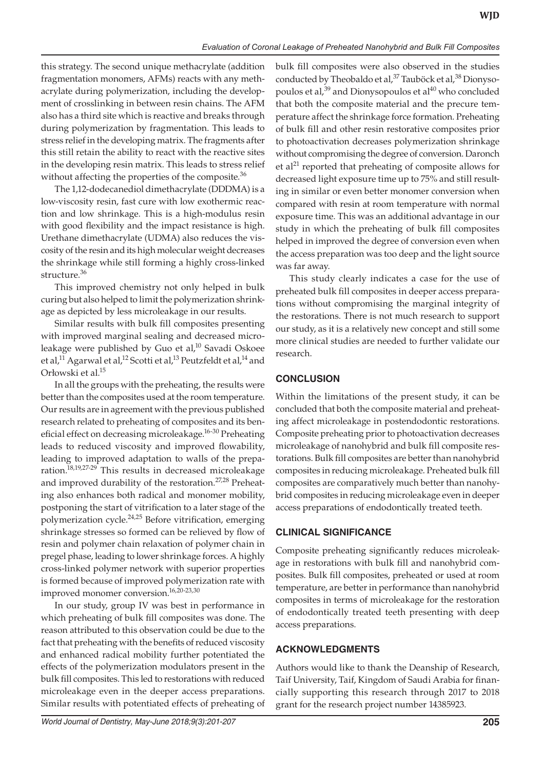this strategy. The second unique methacrylate (addition fragmentation monomers, AFMs) reacts with any methacrylate during polymerization, including the development of crosslinking in between resin chains. The AFM also has a third site which is reactive and breaks through during polymerization by fragmentation. This leads to stress relief in the developing matrix. The fragments after this still retain the ability to react with the reactive sites in the developing resin matrix. This leads to stress relief without affecting the properties of the composite. $36$ 

The 1,12-dodecanediol dimethacrylate (DDDMA) is a low-viscosity resin, fast cure with low exothermic reaction and low shrinkage. This is a high-modulus resin with good flexibility and the impact resistance is high. Urethane dimethacrylate (UDMA) also reduces the viscosity of the resin and its high molecular weight decreases the shrinkage while still forming a highly cross-linked structure.<sup>36</sup>

This improved chemistry not only helped in bulk curing but also helped to limit the polymerization shrinkage as depicted by less microleakage in our results.

Similar results with bulk fill composites presenting with improved marginal sealing and decreased microleakage were published by Guo et al,<sup>10</sup> Savadi Oskoee et al,<sup>11</sup> Agarwal et al,<sup>12</sup> Scotti et al,<sup>13</sup> Peutzfeldt et al,<sup>14</sup> and Orłowski et al.15

In all the groups with the preheating, the results were better than the composites used at the room temperature. Our results are in agreement with the previous published research related to preheating of composites and its beneficial effect on decreasing microleakage.<sup>16-30</sup> Preheating leads to reduced viscosity and improved flowability, leading to improved adaptation to walls of the preparation.<sup>18,19,27-29</sup> This results in decreased microleakage and improved durability of the restoration.<sup>27,28</sup> Preheating also enhances both radical and monomer mobility, postponing the start of vitrification to a later stage of the polymerization cycle.<sup>24,25</sup> Before vitrification, emerging shrinkage stresses so formed can be relieved by flow of resin and polymer chain relaxation of polymer chain in pregel phase, leading to lower shrinkage forces. A highly cross-linked polymer network with superior properties is formed because of improved polymerization rate with improved monomer conversion.<sup>16,20-23,30</sup>

In our study, group IV was best in performance in which preheating of bulk fill composites was done. The reason attributed to this observation could be due to the fact that preheating with the benefits of reduced viscosity and enhanced radical mobility further potentiated the effects of the polymerization modulators present in the bulk fill composites. This led to restorations with reduced microleakage even in the deeper access preparations. Similar results with potentiated effects of preheating of

bulk fill composites were also observed in the studies conducted by Theobaldo et al,<sup>37</sup> Tauböck et al,<sup>38</sup> Dionysopoulos et al,<sup>39</sup> and Dionysopoulos et al<sup>40</sup> who concluded that both the composite material and the precure temperature affect the shrinkage force formation. Preheating of bulk fill and other resin restorative composites prior to photoactivation decreases polymerization shrinkage without compromising the degree of conversion. Daronch et al<sup>21</sup> reported that preheating of composite allows for decreased light exposure time up to 75% and still resulting in similar or even better monomer conversion when compared with resin at room temperature with normal exposure time. This was an additional advantage in our study in which the preheating of bulk fill composites helped in improved the degree of conversion even when the access preparation was too deep and the light source was far away.

This study clearly indicates a case for the use of preheated bulk fill composites in deeper access preparations without compromising the marginal integrity of the restorations. There is not much research to support our study, as it is a relatively new concept and still some more clinical studies are needed to further validate our research.

# **CONCLUSION**

Within the limitations of the present study, it can be concluded that both the composite material and preheating affect microleakage in postendodontic restorations. Composite preheating prior to photoactivation decreases microleakage of nanohybrid and bulk fill composite restorations. Bulk fill composites are better than nanohybrid composites in reducing microleakage. Preheated bulk fill composites are comparatively much better than nanohybrid composites in reducing microleakage even in deeper access preparations of endodontically treated teeth.

## **Clinical Significance**

Composite preheating significantly reduces microleakage in restorations with bulk fill and nanohybrid composites. Bulk fill composites, preheated or used at room temperature, are better in performance than nanohybrid composites in terms of microleakage for the restoration of endodontically treated teeth presenting with deep access preparations.

# **ACKNOWLEDGMENTS**

Authors would like to thank the Deanship of Research, Taif University, Taif, Kingdom of Saudi Arabia for financially supporting this research through 2017 to 2018 grant for the research project number 14385923.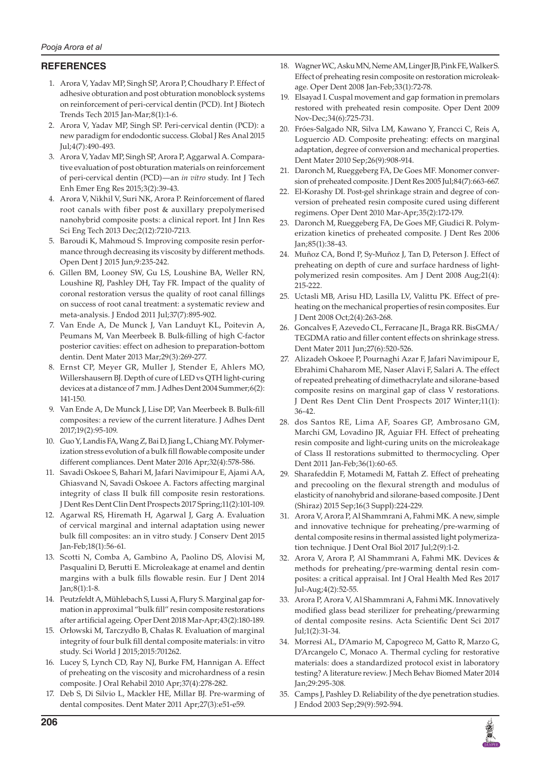## **REFERENCES**

- 1. Arora V, Yadav MP, Singh SP, Arora P, Choudhary P. Effect of adhesive obturation and post obturation monoblock systems on reinforcement of peri-cervical dentin (PCD). Int J Biotech Trends Tech 2015 Jan-Mar;8(1):1-6.
- 2. Arora V, Yadav MP, Singh SP. Peri-cervical dentin (PCD): a new paradigm for endodontic success. Global J Res Anal 2015 Jul;4(7):490-493.
- 3. Arora V, Yadav MP, Singh SP, Arora P, Aggarwal A. Comparative evaluation of post obturation materials on reinforcement of peri-cervical dentin (PCD)—an *in vitro* study. Int J Tech Enh Emer Eng Res 2015;3(2):39-43.
- 4. Arora V, Nikhil V, Suri NK, Arora P. Reinforcement of flared root canals with fiber post & auxillary prepolymerised nanohybrid composite posts: a clinical report. Int J Inn Res Sci Eng Tech 2013 Dec;2(12):7210-7213.
- 5. Baroudi K, Mahmoud S. Improving composite resin performance through decreasing its viscosity by different methods. Open Dent J 2015 Jun;9:235-242.
- 6. Gillen BM, Looney SW, Gu LS, Loushine BA, Weller RN, Loushine RJ, Pashley DH, Tay FR. Impact of the quality of coronal restoration versus the quality of root canal fillings on success of root canal treatment: a systematic review and meta-analysis. J Endod 2011 Jul;37(7):895-902.
- 7. Van Ende A, De Munck J, Van Landuyt KL, Poitevin A, Peumans M, Van Meerbeek B. Bulk-filling of high C-factor posterior cavities: effect on adhesion to preparation-bottom dentin. Dent Mater 2013 Mar;29(3):269-277.
- 8. Ernst CP, Meyer GR, Muller J, Stender E, Ahlers MO, Willershausern BJ. Depth of cure of LED vs QTH light-curing devices at a distance of 7 mm. J Adhes Dent 2004 Summer;6(2): 141-150.
- 9. Van Ende A, De Munck J, Lise DP, Van Meerbeek B. Bulk-fill composites: a review of the current literature. J Adhes Dent 2017;19(2):95-109.
- 10. Guo Y, Landis FA, Wang Z, Bai D, Jiang L, Chiang MY. Polymerization stress evolution of a bulk fill flowable composite under different compliances. Dent Mater 2016 Apr;32(4):578-586.
- 11. Savadi Oskoee S, Bahari M, Jafari Navimipour E, Ajami AA, Ghiasvand N, Savadi Oskoee A. Factors affecting marginal integrity of class II bulk fill composite resin restorations. J Dent Res Dent Clin Dent Prospects 2017 Spring;11(2):101-109.
- 12. Agarwal RS, Hiremath H, Agarwal J, Garg A. Evaluation of cervical marginal and internal adaptation using newer bulk fill composites: an in vitro study. J Conserv Dent 2015 Jan-Feb;18(1):56-61.
- 13. Scotti N, Comba A, Gambino A, Paolino DS, Alovisi M, Pasqualini D, Berutti E. Microleakage at enamel and dentin margins with a bulk fills flowable resin. Eur J Dent 2014 Jan;8(1):1-8.
- 14. Peutzfeldt A, Mühlebach S, Lussi A, Flury S. Marginal gap formation in approximal "bulk fill" resin composite restorations after artificial ageing. Oper Dent 2018 Mar-Apr;43(2):180-189.
- 15. Orłowski M, Tarczydło B, Chałas R. Evaluation of marginal integrity of four bulk fill dental composite materials: in vitro study. Sci World J 2015;2015:701262.
- 16. Lucey S, Lynch CD, Ray NJ, Burke FM, Hannigan A. Effect of preheating on the viscosity and microhardness of a resin composite. J Oral Rehabil 2010 Apr;37(4):278-282.
- 17. Deb S, Di Silvio L, Mackler HE, Millar BJ. Pre-warming of dental composites. Dent Mater 2011 Apr;27(3):e51-e59.
- 18. Wagner WC, Asku MN, Neme AM, Linger JB, Pink FE, Walker S. Effect of preheating resin composite on restoration microleakage. Oper Dent 2008 Jan-Feb;33(1):72-78.
- 19. Elsayad I. Cuspal movement and gap formation in premolars restored with preheated resin composite. Oper Dent 2009 Nov-Dec;34(6):725-731.
- 20. Fróes-Salgado NR, Silva LM, Kawano Y, Francci C, Reis A, Loguercio AD. Composite preheating: effects on marginal adaptation, degree of conversion and mechanical properties. Dent Mater 2010 Sep;26(9):908-914.
- 21. Daronch M, Rueggeberg FA, De Goes MF. Monomer conversion of preheated composite. J Dent Res 2005 Jul;84(7):663-667.
- 22. El-Korashy DI. Post-gel shrinkage strain and degree of conversion of preheated resin composite cured using different regimens. Oper Dent 2010 Mar-Apr;35(2):172-179.
- 23. Daronch M, Rueggeberg FA, De Goes MF, Giudici R. Polymerization kinetics of preheated composite. J Dent Res 2006 Jan;85(1):38-43.
- 24. Muñoz CA, Bond P, Sy-Muñoz J, Tan D, Peterson J. Effect of preheating on depth of cure and surface hardness of lightpolymerized resin composites. Am J Dent 2008 Aug;21(4): 215-222.
- 25. Uctasli MB, Arisu HD, Lasilla LV, Valittu PK. Effect of preheating on the mechanical properties of resin composites. Eur J Dent 2008 Oct;2(4):263-268.
- 26. Goncalves F, Azevedo CL, Ferracane JL, Braga RR. BisGMA/ TEGDMA ratio and filler content effects on shrinkage stress. Dent Mater 2011 Jun;27(6):520-526.
- 27. Alizadeh Oskoee P, Pournaghi Azar F, Jafari Navimipour E, Ebrahimi Chaharom ME, Naser Alavi F, Salari A. The effect of repeated preheating of dimethacrylate and silorane-based composite resins on marginal gap of class V restorations. J Dent Res Dent Clin Dent Prospects 2017 Winter;11(1): 36-42.
- 28. dos Santos RE, Lima AF, Soares GP, Ambrosano GM, Marchi GM, Lovadino JR, Aguiar FH. Effect of preheating resin composite and light-curing units on the microleakage of Class II restorations submitted to thermocycling. Oper Dent 2011 Jan-Feb;36(1):60-65.
- 29. Sharafeddin F, Motamedi M, Fattah Z. Effect of preheating and precooling on the flexural strength and modulus of elasticity of nanohybrid and silorane-based composite. J Dent (Shiraz) 2015 Sep;16(3 Suppl):224-229.
- 31. Arora V, Arora P, Al Shammrani A, Fahmi MK. A new, simple and innovative technique for preheating/pre-warming of dental composite resins in thermal assisted light polymerization technique. J Dent Oral Biol 2017 Jul;2(9):1-2.
- 32. Arora V, Arora P, Al Shammrani A, Fahmi MK. Devices & methods for preheating/pre-warming dental resin composites: a critical appraisal. Int J Oral Health Med Res 2017 Jul-Aug;4(2):52-55.
- 33. Arora P, Arora V, Al Shammrani A, Fahmi MK. Innovatively modified glass bead sterilizer for preheating/prewarming of dental composite resins. Acta Scientific Dent Sci 2017  $\text{Id}:1(2):31-34.$
- 34. Morresi AL, D'Amario M, Capogreco M, Gatto R, Marzo G, D'Arcangelo C, Monaco A. Thermal cycling for restorative materials: does a standardized protocol exist in laboratory testing? A literature review. J Mech Behav Biomed Mater 2014 Jan;29:295-308.
- 35. Camps J, Pashley D. Reliability of the dye penetration studies. J Endod 2003 Sep;29(9):592-594.